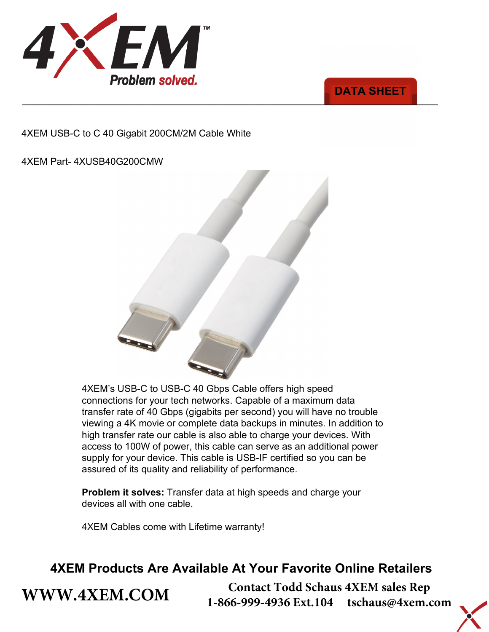



4XEM USB-C to C 40 Gigabit 200CM/2M Cable White

4XEM Part- 4XUSB40G200CMW



4XEM's USB-C to USB-C 40 Gbps Cable offers high speed connections for your tech networks. Capable of a maximum data transfer rate of 40 Gbps (gigabits per second) you will have no trouble viewing a 4K movie or complete data backups in minutes. In addition to high transfer rate our cable is also able to charge your devices. With access to 100W of power, this cable can serve as an additional power supply for your device. This cable is USB-IF certified so you can be assured of its quality and reliability of performance.

**Problem it solves:** Transfer data at high speeds and charge your devices all with one cable.

4XEM Cables come with Lifetime warranty!

**[WWW.4XEM.COM](www.4xem.com)** 

## **4XEM Products Are Available At Your Favorite Online Retailers**

**Contact Todd Schaus 4XEM sales Rep 1-866-999-4936 Ext.104 tschaus@4xem.com**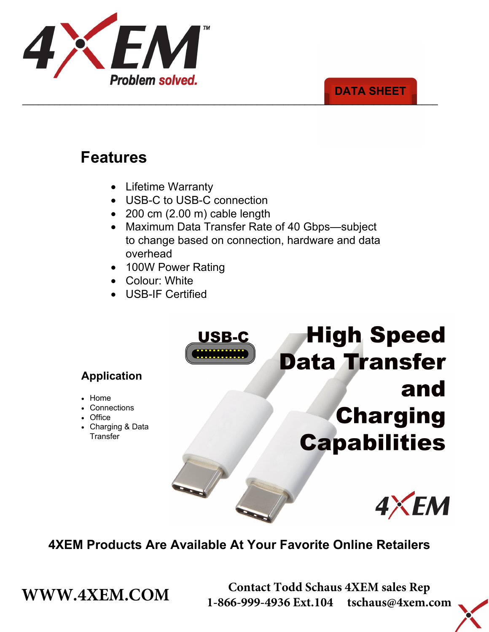

### \_\_\_\_\_\_\_\_\_\_\_\_\_\_\_\_\_\_\_\_\_\_\_\_\_\_\_\_\_\_\_\_\_\_\_\_\_\_\_\_\_\_\_\_\_\_\_\_\_\_\_\_\_\_\_\_\_\_\_\_\_\_\_\_\_\_\_\_\_\_\_\_\_\_\_\_\_\_ **DATA SHEET**

## **Features**

**Application**

• Charging & Data **Transfer** 

• Home • Connections **Office** 

- Lifetime Warranty
- USB-C to USB-C connection
- 200 cm (2.00 m) cable length
- Maximum Data Transfer Rate of 40 Gbps—subject to change based on connection, hardware and data overhead

**USB-C** 

- 100W Power Rating
- Colour: White
- USB-IF Certified

# **High Speed Data Transfer** and **Charging Capabilities**



### **4XEM Products Are Available At Your Favorite Online Retailers**

**WWW.4XEM.COM** <sup>Contact Todd Schaus 4XEM sales Rep<br>1-866-999-4936 Ext.104 tschaus@4xem.com</sup> 1-866-999-4936 Ext.104